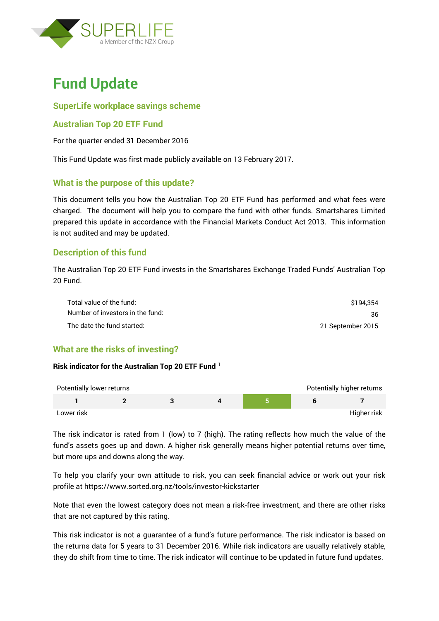

# **Fund Update**

# **SuperLife workplace savings scheme**

# **Australian Top 20 ETF Fund**

For the quarter ended 31 December 2016

This Fund Update was first made publicly available on 13 February 2017.

# **What is the purpose of this update?**

This document tells you how the Australian Top 20 ETF Fund has performed and what fees were charged. The document will help you to compare the fund with other funds. Smartshares Limited prepared this update in accordance with the Financial Markets Conduct Act 2013. This information is not audited and may be updated.

# **Description of this fund**

The Australian Top 20 ETF Fund invests in the Smartshares Exchange Traded Funds' Australian Top 20 Fund.

| Total value of the fund:         | \$194.354         |
|----------------------------------|-------------------|
| Number of investors in the fund: | 36                |
| The date the fund started:       | 21 September 2015 |

# **What are the risks of investing?**

#### **Risk indicator for the Australian Top 20 ETF Fund <sup>1</sup>**

| Potentially lower returns |  |  | Potentially higher returns |
|---------------------------|--|--|----------------------------|
|                           |  |  |                            |
| Lower risk                |  |  | Higher risk                |

The risk indicator is rated from 1 (low) to 7 (high). The rating reflects how much the value of the fund's assets goes up and down. A higher risk generally means higher potential returns over time, but more ups and downs along the way.

To help you clarify your own attitude to risk, you can seek financial advice or work out your risk profile at<https://www.sorted.org.nz/tools/investor-kickstarter>

Note that even the lowest category does not mean a risk-free investment, and there are other risks that are not captured by this rating.

This risk indicator is not a guarantee of a fund's future performance. The risk indicator is based on the returns data for 5 years to 31 December 2016. While risk indicators are usually relatively stable, they do shift from time to time. The risk indicator will continue to be updated in future fund updates.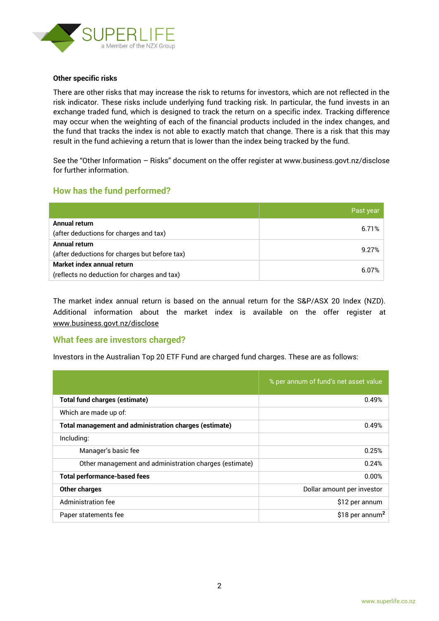

#### **Other specific risks**

There are other risks that may increase the risk to returns for investors, which are not reflected in the risk indicator. These risks include underlying fund tracking risk. In particular, the fund invests in an exchange traded fund, which is designed to track the return on a specific index. Tracking difference may occur when the weighting of each of the financial products included in the index changes, and the fund that tracks the index is not able to exactly match that change. There is a risk that this may result in the fund achieving a return that is lower than the index being tracked by the fund.

See the "Other Information – Risks" document on the offer register at www.business.govt.nz/disclose for further information.

## **How has the fund performed?**

|                                               | Past year |
|-----------------------------------------------|-----------|
| Annual return                                 |           |
| (after deductions for charges and tax)        | 6.71%     |
| Annual return                                 | 9.27%     |
| (after deductions for charges but before tax) |           |
| Market index annual return                    |           |
| (reflects no deduction for charges and tax)   | 6.07%     |

The market index annual return is based on the annual return for the S&P/ASX 20 Index (NZD). Additional information about the market index is available on the offer register at [www.business.govt.nz/disclose](http://www.business.govt.nz/disclose)

#### **What fees are investors charged?**

Investors in the Australian Top 20 ETF Fund are charged fund charges. These are as follows:

|                                                        | % per annum of fund's net asset value |
|--------------------------------------------------------|---------------------------------------|
| <b>Total fund charges (estimate)</b>                   | 0.49%                                 |
| Which are made up of:                                  |                                       |
| Total management and administration charges (estimate) | 0.49%                                 |
| Including:                                             |                                       |
| Manager's basic fee                                    | 0.25%                                 |
| Other management and administration charges (estimate) | 0.24%                                 |
| <b>Total performance-based fees</b>                    | $0.00\%$                              |
| Other charges                                          | Dollar amount per investor            |
| Administration fee                                     | \$12 per annum                        |
| Paper statements fee                                   | \$18 per annum <sup>2</sup>           |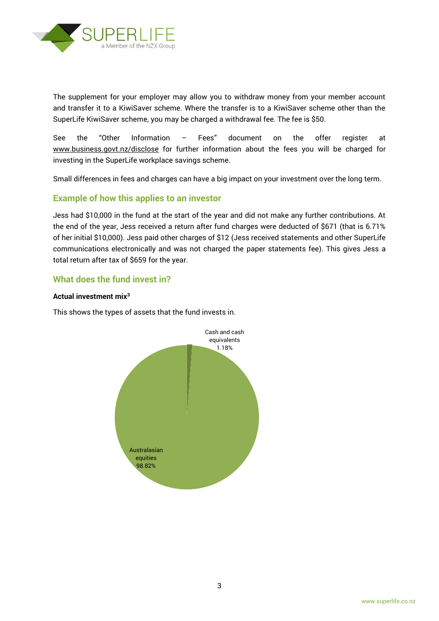

The supplement for your employer may allow you to withdraw money from your member account and transfer it to a KiwiSaver scheme. Where the transfer is to a KiwiSaver scheme other than the SuperLife KiwiSaver scheme, you may be charged a withdrawal fee. The fee is \$50.

See the "Other Information – Fees" document on the offer register at www.business.govt.nz/disclose for further information about the fees you will be charged for investing in the SuperLife workplace savings scheme.

Small differences in fees and charges can have a big impact on your investment over the long term.

## **Example of how this applies to an investor**

Jess had \$10,000 in the fund at the start of the year and did not make any further contributions. At the end of the year, Jess received a return after fund charges were deducted of \$671 (that is 6.71% of her initial \$10,000). Jess paid other charges of \$12 (Jess received statements and other SuperLife communications electronically and was not charged the paper statements fee). This gives Jess a total return after tax of \$659 for the year.

# **What does the fund invest in?**

#### **Actual investment mix<sup>3</sup>**

This shows the types of assets that the fund invests in.

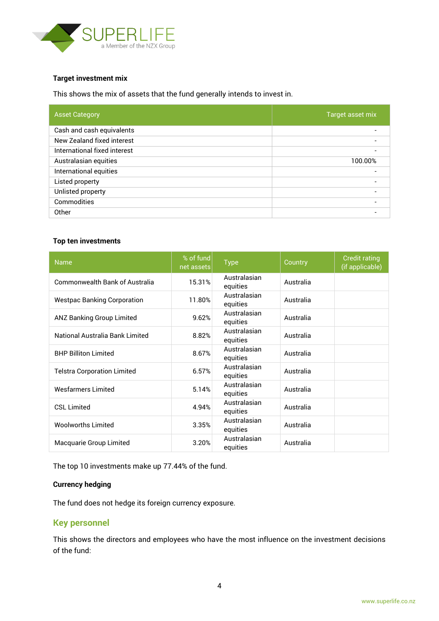

#### **Target investment mix**

This shows the mix of assets that the fund generally intends to invest in.

| <b>Asset Category</b>        | Target asset mix |
|------------------------------|------------------|
| Cash and cash equivalents    |                  |
| New Zealand fixed interest   |                  |
| International fixed interest |                  |
| Australasian equities        | 100.00%          |
| International equities       |                  |
| Listed property              |                  |
| Unlisted property            |                  |
| Commodities                  |                  |
| Other                        |                  |

#### **Top ten investments**

| <b>Name</b>                           | % of fund<br>net assets | <b>Type</b>              | Country   | <b>Credit rating</b><br>(if applicable) |
|---------------------------------------|-------------------------|--------------------------|-----------|-----------------------------------------|
| <b>Commonwealth Bank of Australia</b> | 15.31%                  | Australasian<br>equities | Australia |                                         |
| <b>Westpac Banking Corporation</b>    | 11.80%                  | Australasian<br>equities | Australia |                                         |
| <b>ANZ Banking Group Limited</b>      | 9.62%                   | Australasian<br>equities | Australia |                                         |
| National Australia Bank Limited       | 8.82%                   | Australasian<br>equities | Australia |                                         |
| <b>BHP Billiton Limited</b>           | 8.67%                   | Australasian<br>equities | Australia |                                         |
| <b>Telstra Corporation Limited</b>    | 6.57%                   | Australasian<br>equities | Australia |                                         |
| <b>Wesfarmers Limited</b>             | 5.14%                   | Australasian<br>equities | Australia |                                         |
| <b>CSL Limited</b>                    | 4.94%                   | Australasian<br>equities | Australia |                                         |
| <b>Woolworths Limited</b>             | 3.35%                   | Australasian<br>equities | Australia |                                         |
| Macquarie Group Limited               | 3.20%                   | Australasian<br>equities | Australia |                                         |

The top 10 investments make up 77.44% of the fund.

#### **Currency hedging**

The fund does not hedge its foreign currency exposure.

#### **Key personnel**

This shows the directors and employees who have the most influence on the investment decisions of the fund: